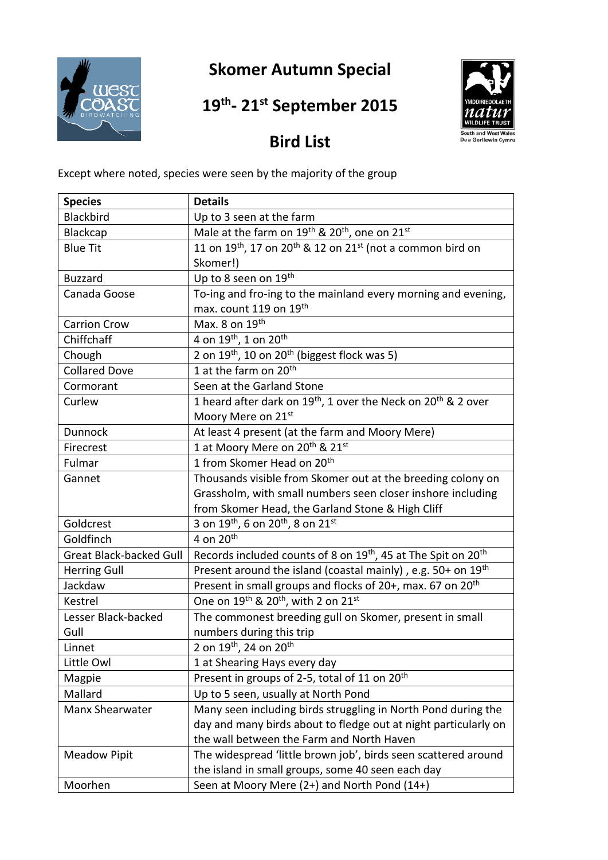

## **Skomer Autumn Special**

## **19 th - 21 st September 2015**



## **Bird List**

Except where noted, species were seen by the majority of the group

| <b>Species</b>                 | <b>Details</b>                                                                        |
|--------------------------------|---------------------------------------------------------------------------------------|
| Blackbird                      | Up to 3 seen at the farm                                                              |
| Blackcap                       | Male at the farm on $19^{th}$ & $20^{th}$ , one on $21^{st}$                          |
| <b>Blue Tit</b>                | 11 on $19^{th}$ , 17 on $20^{th}$ & 12 on $21^{st}$ (not a common bird on             |
|                                | Skomer!)                                                                              |
| <b>Buzzard</b>                 | Up to 8 seen on 19th                                                                  |
| Canada Goose                   | To-ing and fro-ing to the mainland every morning and evening,                         |
|                                | max. count 119 on 19th                                                                |
| <b>Carrion Crow</b>            | Max. 8 on $19th$                                                                      |
| Chiffchaff                     | 4 on 19th, 1 on 20th                                                                  |
| Chough                         | 2 on 19 <sup>th</sup> , 10 on 20 <sup>th</sup> (biggest flock was 5)                  |
| <b>Collared Dove</b>           | 1 at the farm on 20 <sup>th</sup>                                                     |
| Cormorant                      | Seen at the Garland Stone                                                             |
| Curlew                         | 1 heard after dark on 19 <sup>th</sup> , 1 over the Neck on 20 <sup>th</sup> & 2 over |
|                                | Moory Mere on 21st                                                                    |
| <b>Dunnock</b>                 | At least 4 present (at the farm and Moory Mere)                                       |
| Firecrest                      | 1 at Moory Mere on 20 <sup>th</sup> & 21 <sup>st</sup>                                |
| Fulmar                         | 1 from Skomer Head on 20 <sup>th</sup>                                                |
| Gannet                         | Thousands visible from Skomer out at the breeding colony on                           |
|                                | Grassholm, with small numbers seen closer inshore including                           |
|                                | from Skomer Head, the Garland Stone & High Cliff                                      |
| Goldcrest                      | 3 on $19^{th}$ , 6 on $20^{th}$ , 8 on $21^{st}$                                      |
| Goldfinch                      | 4 on $20th$                                                                           |
| <b>Great Black-backed Gull</b> | Records included counts of 8 on 19 <sup>th</sup> , 45 at The Spit on 20 <sup>th</sup> |
| <b>Herring Gull</b>            | Present around the island (coastal mainly), e.g. $50+$ on $19th$                      |
| Jackdaw                        | Present in small groups and flocks of 20+, max. 67 on 20 <sup>th</sup>                |
| Kestrel                        | One on 19 <sup>th</sup> & 20 <sup>th</sup> , with 2 on 21 <sup>st</sup>               |
| Lesser Black-backed            | The commonest breeding gull on Skomer, present in small                               |
| Gull                           | numbers during this trip                                                              |
| Linnet                         | 2 on 19 <sup>th</sup> , 24 on 20 <sup>th</sup>                                        |
| Little Owl                     | 1 at Shearing Hays every day                                                          |
| Magpie                         | Present in groups of 2-5, total of 11 on 20 <sup>th</sup>                             |
| Mallard                        | Up to 5 seen, usually at North Pond                                                   |
| Manx Shearwater                | Many seen including birds struggling in North Pond during the                         |
|                                | day and many birds about to fledge out at night particularly on                       |
|                                | the wall between the Farm and North Haven                                             |
| <b>Meadow Pipit</b>            | The widespread 'little brown job', birds seen scattered around                        |
|                                | the island in small groups, some 40 seen each day                                     |
| Moorhen                        | Seen at Moory Mere (2+) and North Pond (14+)                                          |